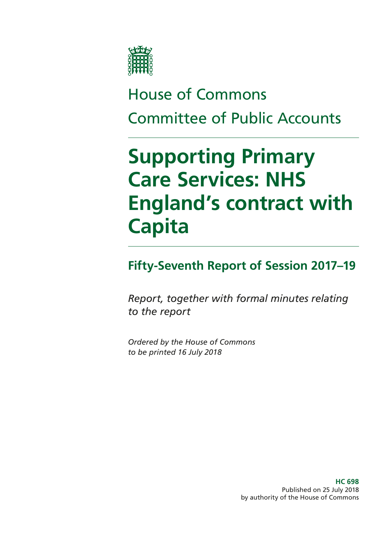

# House of Commons Committee of Public Accounts

# **Supporting Primary Care Services: NHS England's contract with Capita**

### **Fifty-Seventh Report of Session 2017–19**

*Report, together with formal minutes relating to the report*

*Ordered by the House of Commons to be printed 16 July 2018*

> **HC 698** Published on 25 July 2018 by authority of the House of Commons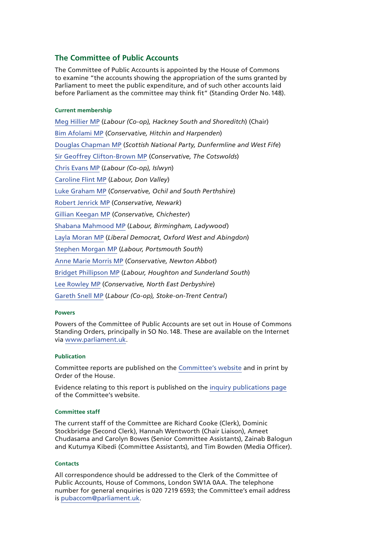#### **The Committee of Public Accounts**

The Committee of Public Accounts is appointed by the House of Commons to examine "the accounts showing the appropriation of the sums granted by Parliament to meet the public expenditure, and of such other accounts laid before Parliament as the committee may think fit" (Standing Order No.148).

#### **Current membership**

[Meg Hillier MP](https://www.parliament.uk/biographies/commons/meg-hillier/1524) (*Labour (Co-op), Hackney South and Shoreditch*) (Chair) [Bim Afolami MP](https://www.parliament.uk/biographies/commons/bim-afolami/4639) (*Conservative, Hitchin and Harpenden*) [Douglas Chapman MP](https://www.parliament.uk/biographies/commons/douglas-chapman/4402) (*Scottish National Party, Dunfermline and West Fife*) [Sir Geoffrey Clifton-Brown MP](https://www.parliament.uk/biographies/commons/geoffrey-clifton-brown/249) (*Conservative, The Cotswolds*) [Chris Evans MP](https://www.parliament.uk/biographies/commons/chris-evans/4040) (*Labour (Co-op), Islwyn*) [Caroline Flint MP](https://www.parliament.uk/biographies/commons/caroline-flint/389) (*Labour, Don Valley*) [Luke Graham MP](https://www.parliament.uk/biographies/commons/luke-graham/4622) (*Conservative, Ochil and South Perthshire*) [Robert Jenrick MP](https://www.parliament.uk/biographies/commons/robert-jenrick/4320) (*Conservative, Newark*) [Gillian Keegan MP](https://www.parliament.uk/biographies/commons/gillian-keegan/4680) (*Conservative, Chichester*) [Shabana Mahmood MP](https://www.parliament.uk/biographies/commons/shabana-mahmood/3914) (*Labour, Birmingham, Ladywood*) [Layla Moran MP](https://www.parliament.uk/biographies/commons/layla-moran/4656) (*Liberal Democrat, Oxford West and Abingdon*) [Stephen Morgan MP](https://www.parliament.uk/biographies/commons/stephen-morgan/4653) (*Labour, Portsmouth South*) [Anne Marie Morris MP](https://www.parliament.uk/biographies/commons/anne-marie-morris/4249) (*Conservative, Newton Abbot*) [Bridget Phillipson MP](https://www.parliament.uk/biographies/commons/bridget-phillipson/4046) (*Labour, Houghton and Sunderland South*) [Lee Rowley MP](https://www.parliament.uk/biographies/commons/lee-rowley/4652) (*Conservative, North East Derbyshire*) [Gareth Snell MP](https://www.parliament.uk/biographies/commons/gareth-snell/4595) (*Labour (Co-op), Stoke-on-Trent Central*)

#### **Powers**

Powers of the Committee of Public Accounts are set out in House of Commons Standing Orders, principally in SO No.148. These are available on the Internet via [www.parliament.uk](https://www.parliament.uk/).

#### **Publication**

Committee reports are published on the [Committee's website](https://www.parliament.uk/business/committees/committees-a-z/commons-select/public-accounts-committee/) and in print by Order of the House.

Evidence relating to this report is published on the [inquiry publications page](https://www.parliament.uk/business/committees/committees-a-z/commons-select/public-accounts-committee/inquiries/parliament-2017/nhs-contract-capita-17-19/publications/) of the Committee's website.

#### **Committee staff**

The current staff of the Committee are Richard Cooke (Clerk), Dominic Stockbridge (Second Clerk), Hannah Wentworth (Chair Liaison), Ameet Chudasama and Carolyn Bowes (Senior Committee Assistants), Zainab Balogun and Kutumya Kibedi (Committee Assistants), and Tim Bowden (Media Officer).

#### **Contacts**

All correspondence should be addressed to the Clerk of the Committee of Public Accounts, House of Commons, London SW1A 0AA. The telephone number for general enquiries is 020 7219 6593; the Committee's email address is [pubaccom@parliament.uk](mailto:pubaccom%40parliament.uk?subject=).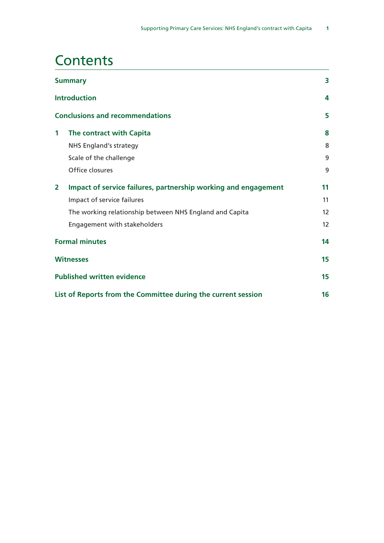## **Contents**

| <b>Summary</b> |                                                                | 3  |  |
|----------------|----------------------------------------------------------------|----|--|
|                | <b>Introduction</b><br><b>Conclusions and recommendations</b>  |    |  |
|                |                                                                |    |  |
| $\mathbf 1$    | The contract with Capita                                       | 8  |  |
|                | <b>NHS England's strategy</b>                                  | 8  |  |
|                | Scale of the challenge                                         | 9  |  |
|                | Office closures                                                | 9  |  |
| $\mathbf{2}$   | Impact of service failures, partnership working and engagement | 11 |  |
|                | Impact of service failures                                     | 11 |  |
|                | The working relationship between NHS England and Capita        | 12 |  |
|                | Engagement with stakeholders                                   | 12 |  |
|                | <b>Formal minutes</b>                                          |    |  |
|                | <b>Witnesses</b>                                               |    |  |
|                | <b>Published written evidence</b>                              |    |  |
|                | List of Reports from the Committee during the current session  |    |  |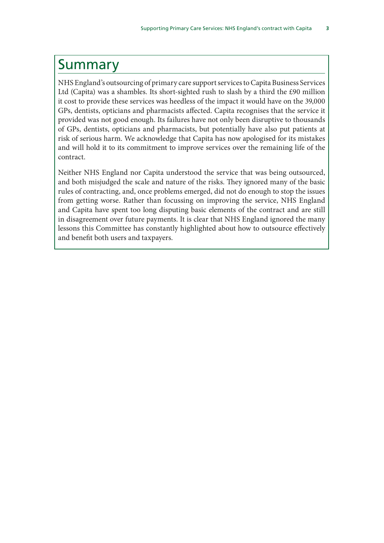### <span id="page-4-0"></span>Summary

NHS England's outsourcing of primary care support services to Capita Business Services Ltd (Capita) was a shambles. Its short-sighted rush to slash by a third the £90 million it cost to provide these services was heedless of the impact it would have on the 39,000 GPs, dentists, opticians and pharmacists affected. Capita recognises that the service it provided was not good enough. Its failures have not only been disruptive to thousands of GPs, dentists, opticians and pharmacists, but potentially have also put patients at risk of serious harm. We acknowledge that Capita has now apologised for its mistakes and will hold it to its commitment to improve services over the remaining life of the contract.

Neither NHS England nor Capita understood the service that was being outsourced, and both misjudged the scale and nature of the risks. They ignored many of the basic rules of contracting, and, once problems emerged, did not do enough to stop the issues from getting worse. Rather than focussing on improving the service, NHS England and Capita have spent too long disputing basic elements of the contract and are still in disagreement over future payments. It is clear that NHS England ignored the many lessons this Committee has constantly highlighted about how to outsource effectively and benefit both users and taxpayers.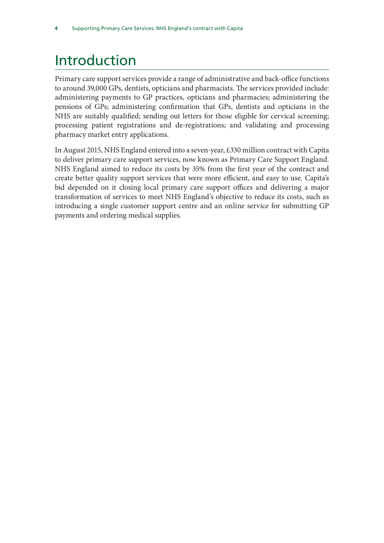# <span id="page-5-0"></span>Introduction

Primary care support services provide a range of administrative and back-office functions to around 39,000 GPs, dentists, opticians and pharmacists. The services provided include: administering payments to GP practices, opticians and pharmacies; administering the pensions of GPs; administering confirmation that GPs, dentists and opticians in the NHS are suitably qualified; sending out letters for those eligible for cervical screening; processing patient registrations and de-registrations; and validating and processing pharmacy market entry applications.

In August 2015, NHS England entered into a seven-year, £330 million contract with Capita to deliver primary care support services, now known as Primary Care Support England. NHS England aimed to reduce its costs by 35% from the first year of the contract and create better quality support services that were more efficient, and easy to use. Capita's bid depended on it closing local primary care support offices and delivering a major transformation of services to meet NHS England's objective to reduce its costs, such as introducing a single customer support centre and an online service for submitting GP payments and ordering medical supplies.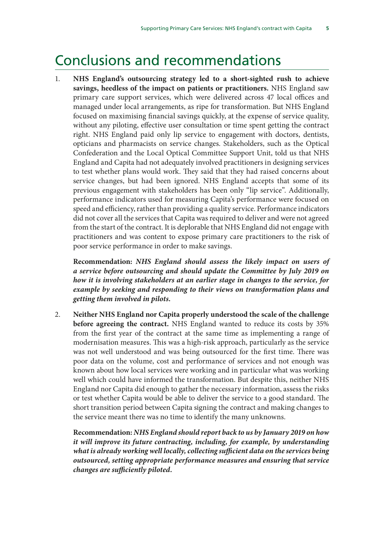### <span id="page-6-0"></span>Conclusions and recommendations

1. **NHS England's outsourcing strategy led to a short-sighted rush to achieve savings, heedless of the impact on patients or practitioners.** NHS England saw primary care support services, which were delivered across 47 local offices and managed under local arrangements, as ripe for transformation. But NHS England focused on maximising financial savings quickly, at the expense of service quality, without any piloting, effective user consultation or time spent getting the contract right. NHS England paid only lip service to engagement with doctors, dentists, opticians and pharmacists on service changes. Stakeholders, such as the Optical Confederation and the Local Optical Committee Support Unit, told us that NHS England and Capita had not adequately involved practitioners in designing services to test whether plans would work. They said that they had raised concerns about service changes, but had been ignored. NHS England accepts that some of its previous engagement with stakeholders has been only "lip service". Additionally, performance indicators used for measuring Capita's performance were focused on speed and efficiency, rather than providing a quality service. Performance indicators did not cover all the services that Capita was required to deliver and were not agreed from the start of the contract. It is deplorable that NHS England did not engage with practitioners and was content to expose primary care practitioners to the risk of poor service performance in order to make savings.

**Recommendation:** *NHS England should assess the likely impact on users of a service before outsourcing and should update the Committee by July 2019 on how it is involving stakeholders at an earlier stage in changes to the service, for example by seeking and responding to their views on transformation plans and getting them involved in pilots.*

2. **Neither NHS England nor Capita properly understood the scale of the challenge before agreeing the contract.** NHS England wanted to reduce its costs by 35% from the first year of the contract at the same time as implementing a range of modernisation measures. This was a high-risk approach, particularly as the service was not well understood and was being outsourced for the first time. There was poor data on the volume, cost and performance of services and not enough was known about how local services were working and in particular what was working well which could have informed the transformation. But despite this, neither NHS England nor Capita did enough to gather the necessary information, assess the risks or test whether Capita would be able to deliver the service to a good standard. The short transition period between Capita signing the contract and making changes to the service meant there was no time to identify the many unknowns.

**Recommendation:** *NHS England should report back to us by January 2019 on how it will improve its future contracting, including, for example, by understanding what is already working well locally, collecting sufficient data on the services being outsourced, setting appropriate performance measures and ensuring that service changes are sufficiently piloted.*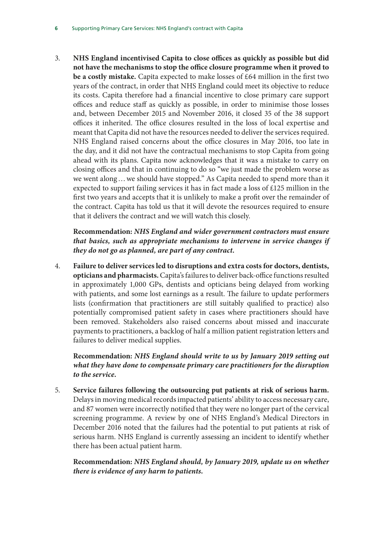3. **NHS England incentivised Capita to close offices as quickly as possible but did not have the mechanisms to stop the office closure programme when it proved to be a costly mistake.** Capita expected to make losses of £64 million in the first two years of the contract, in order that NHS England could meet its objective to reduce its costs. Capita therefore had a financial incentive to close primary care support offices and reduce staff as quickly as possible, in order to minimise those losses and, between December 2015 and November 2016, it closed 35 of the 38 support offices it inherited. The office closures resulted in the loss of local expertise and meant that Capita did not have the resources needed to deliver the services required. NHS England raised concerns about the office closures in May 2016, too late in the day, and it did not have the contractual mechanisms to stop Capita from going ahead with its plans. Capita now acknowledges that it was a mistake to carry on closing offices and that in continuing to do so "we just made the problem worse as we went along…we should have stopped." As Capita needed to spend more than it expected to support failing services it has in fact made a loss of £125 million in the first two years and accepts that it is unlikely to make a profit over the remainder of the contract. Capita has told us that it will devote the resources required to ensure that it delivers the contract and we will watch this closely.

**Recommendation:** *NHS England and wider government contractors must ensure that basics, such as appropriate mechanisms to intervene in service changes if they do not go as planned, are part of any contract.*

4. **Failure to deliver services led to disruptions and extra costs for doctors, dentists, opticians and pharmacists.** Capita's failures to deliver back-office functions resulted in approximately 1,000 GPs, dentists and opticians being delayed from working with patients, and some lost earnings as a result. The failure to update performers lists (confirmation that practitioners are still suitably qualified to practice) also potentially compromised patient safety in cases where practitioners should have been removed. Stakeholders also raised concerns about missed and inaccurate payments to practitioners, a backlog of half a million patient registration letters and failures to deliver medical supplies.

**Recommendation:** *NHS England should write to us by January 2019 setting out what they have done to compensate primary care practitioners for the disruption to the service.*

5. **Service failures following the outsourcing put patients at risk of serious harm.** Delays in moving medical records impacted patients' ability to access necessary care, and 87 women were incorrectly notified that they were no longer part of the cervical screening programme. A review by one of NHS England's Medical Directors in December 2016 noted that the failures had the potential to put patients at risk of serious harm. NHS England is currently assessing an incident to identify whether there has been actual patient harm.

**Recommendation:** *NHS England should, by January 2019, update us on whether there is evidence of any harm to patients.*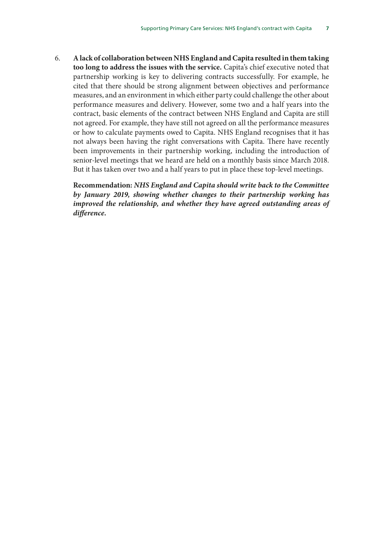6. **A lack of collaboration between NHS England and Capita resulted in them taking too long to address the issues with the service.** Capita's chief executive noted that partnership working is key to delivering contracts successfully. For example, he cited that there should be strong alignment between objectives and performance measures, and an environment in which either party could challenge the other about performance measures and delivery. However, some two and a half years into the contract, basic elements of the contract between NHS England and Capita are still not agreed. For example, they have still not agreed on all the performance measures or how to calculate payments owed to Capita. NHS England recognises that it has not always been having the right conversations with Capita. There have recently been improvements in their partnership working, including the introduction of senior-level meetings that we heard are held on a monthly basis since March 2018. But it has taken over two and a half years to put in place these top-level meetings.

**Recommendation:** *NHS England and Capita should write back to the Committee by January 2019, showing whether changes to their partnership working has improved the relationship, and whether they have agreed outstanding areas of difference.*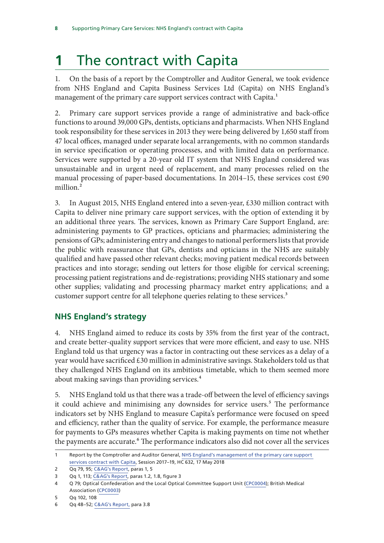# <span id="page-9-0"></span>**1** The contract with Capita

1. On the basis of a report by the Comptroller and Auditor General, we took evidence from NHS England and Capita Business Services Ltd (Capita) on NHS England's management of the primary care support services contract with Capita.<sup>1</sup>

2. Primary care support services provide a range of administrative and back-office functions to around 39,000 GPs, dentists, opticians and pharmacists. When NHS England took responsibility for these services in 2013 they were being delivered by 1,650 staff from 47 local offices, managed under separate local arrangements, with no common standards in service specification or operating processes, and with limited data on performance. Services were supported by a 20-year old IT system that NHS England considered was unsustainable and in urgent need of replacement, and many processes relied on the manual processing of paper-based documentations. In 2014–15, these services cost £90 million.<sup>2</sup>

3. In August 2015, NHS England entered into a seven-year, £330 million contract with Capita to deliver nine primary care support services, with the option of extending it by an additional three years. The services, known as Primary Care Support England, are: administering payments to GP practices, opticians and pharmacies; administering the pensions of GPs; administering entry and changes to national performers lists that provide the public with reassurance that GPs, dentists and opticians in the NHS are suitably qualified and have passed other relevant checks; moving patient medical records between practices and into storage; sending out letters for those eligible for cervical screening; processing patient registrations and de-registrations; providing NHS stationary and some other supplies; validating and processing pharmacy market entry applications; and a customer support centre for all telephone queries relating to these services.<sup>3</sup>

#### **NHS England's strategy**

4. NHS England aimed to reduce its costs by 35% from the first year of the contract, and create better-quality support services that were more efficient, and easy to use. NHS England told us that urgency was a factor in contracting out these services as a delay of a year would have sacrificed £30 million in administrative savings. Stakeholders told us that they challenged NHS England on its ambitious timetable, which to them seemed more about making savings than providing services.<sup>4</sup>

5. NHS England told us that there was a trade-off between the level of efficiency savings it could achieve and minimising any downsides for service users.<sup>5</sup> The performance indicators set by NHS England to measure Capita's performance were focused on speed and efficiency, rather than the quality of service. For example, the performance measure for payments to GPs measures whether Capita is making payments on time not whether the payments are accurate.<sup>6</sup> The performance indicators also did not cover all the services

<sup>1</sup> Report by the Comptroller and Auditor General, [NHS England's management of the primary care support](https://www.nao.org.uk/wp-content/uploads/2018/05/NHS-Englands-management-of-the-primary-care-support-services-contract-with-Capita.pdf)  [services contract with Capita](https://www.nao.org.uk/wp-content/uploads/2018/05/NHS-Englands-management-of-the-primary-care-support-services-contract-with-Capita.pdf), Session 2017–19, HC 632, 17 May 2018

<sup>2</sup> Qq 79, 95; [C&AG's Report,](https://www.nao.org.uk/wp-content/uploads/2018/05/NHS-Englands-management-of-the-primary-care-support-services-contract-with-Capita.pdf) paras 1, 5

<sup>3</sup> Qq 1, 113; [C&AG's Report,](ttps://www.nao.org.uk/wp-content/uploads/2018/05/NHS-Englands-management-of-the-primary-care-support-services-contract-with-Capita.pdf) paras 1.2, 1.8, figure 3

<sup>4</sup> Q 79; Optical Confederation and the Local Optical Committee Support Unit ([CPC0004](http://data.parliament.uk/writtenevidence/committeeevidence.svc/evidencedocument/public-accounts-committee/supporting-primary-care-services-nhs-englands-contract-with-capita/written/84887.pdf)); British Medical Association [\(CPC0003](http://data.parliament.uk/writtenevidence/committeeevidence.svc/evidencedocument/public-accounts-committee/supporting-primary-care-services-nhs-englands-contract-with-capita/written/84842.pdf))

<sup>5</sup> Qq 102, 108

<sup>6</sup> Qq 48–52; [C&AG's Report](https://www.nao.org.uk/wp-content/uploads/2018/05/NHS-Englands-management-of-the-primary-care-support-services-contract-with-Capita.pdf), para 3.8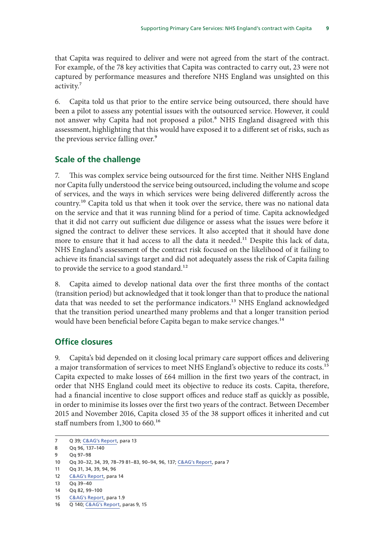<span id="page-10-0"></span>that Capita was required to deliver and were not agreed from the start of the contract. For example, of the 78 key activities that Capita was contracted to carry out, 23 were not captured by performance measures and therefore NHS England was unsighted on this activity.<sup>7</sup>

6. Capita told us that prior to the entire service being outsourced, there should have been a pilot to assess any potential issues with the outsourced service. However, it could not answer why Capita had not proposed a pilot.<sup>8</sup> NHS England disagreed with this assessment, highlighting that this would have exposed it to a different set of risks, such as the previous service falling over.<sup>9</sup>

#### **Scale of the challenge**

7. This was complex service being outsourced for the first time. Neither NHS England nor Capita fully understood the service being outsourced, including the volume and scope of services, and the ways in which services were being delivered differently across the country.10 Capita told us that when it took over the service, there was no national data on the service and that it was running blind for a period of time. Capita acknowledged that it did not carry out sufficient due diligence or assess what the issues were before it signed the contract to deliver these services. It also accepted that it should have done more to ensure that it had access to all the data it needed.<sup>11</sup> Despite this lack of data, NHS England's assessment of the contract risk focused on the likelihood of it failing to achieve its financial savings target and did not adequately assess the risk of Capita failing to provide the service to a good standard.<sup>12</sup>

8. Capita aimed to develop national data over the first three months of the contact (transition period) but acknowledged that it took longer than that to produce the national data that was needed to set the performance indicators.<sup>13</sup> NHS England acknowledged that the transition period unearthed many problems and that a longer transition period would have been beneficial before Capita began to make service changes.<sup>14</sup>

#### **Office closures**

9. Capita's bid depended on it closing local primary care support offices and delivering a major transformation of services to meet NHS England's objective to reduce its costs.<sup>15</sup> Capita expected to make losses of £64 million in the first two years of the contract, in order that NHS England could meet its objective to reduce its costs. Capita, therefore, had a financial incentive to close support offices and reduce staff as quickly as possible, in order to minimise its losses over the first two years of the contract. Between December 2015 and November 2016, Capita closed 35 of the 38 support offices it inherited and cut staff numbers from 1,300 to 660.<sup>16</sup>

<sup>7</sup> Q 39; [C&AG's Report](https://www.nao.org.uk/wp-content/uploads/2018/05/NHS-Englands-management-of-the-primary-care-support-services-contract-with-Capita.pdf), para 13

<sup>8</sup> Qq 96, 137–140

<sup>9</sup> Qq 97–98

<sup>10</sup> Qq 30–32, 34, 39, 78–79 81–83, 90–94, 96, 137; [C&AG's Report,](https://www.nao.org.uk/wp-content/uploads/2018/05/NHS-Englands-management-of-the-primary-care-support-services-contract-with-Capita.pdf) para 7

<sup>11</sup> Qq 31, 34, 39, 94, 96

<sup>12</sup> [C&AG's Report,](https://www.nao.org.uk/wp-content/uploads/2018/05/NHS-Englands-management-of-the-primary-care-support-services-contract-with-Capita.pdf) para 14

<sup>13</sup> Qq 39–40

<sup>14</sup> Qq 82, 99–100

<sup>15</sup> [C&AG's Report,](https://www.nao.org.uk/wp-content/uploads/2018/05/NHS-Englands-management-of-the-primary-care-support-services-contract-with-Capita.pdf) para 1.9

<sup>16</sup> Q 140; [C&AG's Report,](https://www.nao.org.uk/wp-content/uploads/2018/05/NHS-Englands-management-of-the-primary-care-support-services-contract-with-Capita.pdf) paras 9, 15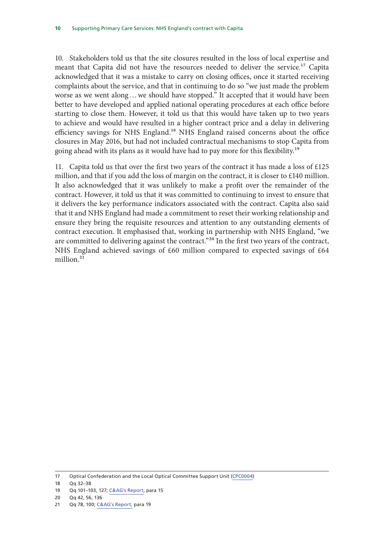10. Stakeholders told us that the site closures resulted in the loss of local expertise and meant that Capita did not have the resources needed to deliver the service.<sup>17</sup> Capita acknowledged that it was a mistake to carry on closing offices, once it started receiving complaints about the service, and that in continuing to do so "we just made the problem worse as we went along…we should have stopped." It accepted that it would have been better to have developed and applied national operating procedures at each office before starting to close them. However, it told us that this would have taken up to two years to achieve and would have resulted in a higher contract price and a delay in delivering efficiency savings for NHS England.<sup>18</sup> NHS England raised concerns about the office closures in May 2016, but had not included contractual mechanisms to stop Capita from going ahead with its plans as it would have had to pay more for this flexibility.<sup>19</sup>

11. Capita told us that over the first two years of the contract it has made a loss of  $\text{\pounds}125$ million, and that if you add the loss of margin on the contract, it is closer to £140 million. It also acknowledged that it was unlikely to make a profit over the remainder of the contract. However, it told us that it was committed to continuing to invest to ensure that it delivers the key performance indicators associated with the contract. Capita also said that it and NHS England had made a commitment to reset their working relationship and ensure they bring the requisite resources and attention to any outstanding elements of contract execution. It emphasised that, working in partnership with NHS England, "we are committed to delivering against the contract."<sup>20</sup> In the first two years of the contract, NHS England achieved savings of £60 million compared to expected savings of £64 million $21$ 

18 Qq 32–38

20 Qq 42, 56, 136

<sup>17</sup> Optical Confederation and the Local Optical Committee Support Unit [\(CPC0004\)](http://data.parliament.uk/writtenevidence/committeeevidence.svc/evidencedocument/public-accounts-committee/supporting-primary-care-services-nhs-englands-contract-with-capita/written/84887.pdf)

<sup>19</sup> Qq 101–103, 127; [C&AG's Report,](https://www.nao.org.uk/wp-content/uploads/2018/05/NHS-Englands-management-of-the-primary-care-support-services-contract-with-Capita.pdf) para 15

<sup>21</sup> Qq 78, 100; [C&AG's Report](https://www.nao.org.uk/wp-content/uploads/2018/05/NHS-Englands-management-of-the-primary-care-support-services-contract-with-Capita.pdf), para 19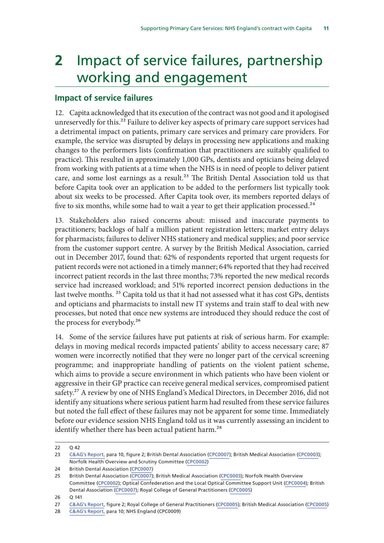# <span id="page-12-0"></span>**2** Impact of service failures, partnership working and engagement

#### **Impact of service failures**

12. Capita acknowledged that its execution of the contract was not good and it apologised unreservedly for this.<sup>22</sup> Failure to deliver key aspects of primary care support services had a detrimental impact on patients, primary care services and primary care providers. For example, the service was disrupted by delays in processing new applications and making changes to the performers lists (confirmation that practitioners are suitably qualified to practice). This resulted in approximately 1,000 GPs, dentists and opticians being delayed from working with patients at a time when the NHS is in need of people to deliver patient care, and some lost earnings as a result.<sup>23</sup> The British Dental Association told us that before Capita took over an application to be added to the performers list typically took about six weeks to be processed. After Capita took over, its members reported delays of five to six months, while some had to wait a year to get their application processed.<sup>24</sup>

13. Stakeholders also raised concerns about: missed and inaccurate payments to practitioners; backlogs of half a million patient registration letters; market entry delays for pharmacists; failures to deliver NHS stationery and medical supplies; and poor service from the customer support centre. A survey by the British Medical Association, carried out in December 2017, found that: 62% of respondents reported that urgent requests for patient records were not actioned in a timely manner; 64% reported that they had received incorrect patient records in the last three months; 73% reported the new medical records service had increased workload; and 51% reported incorrect pension deductions in the last twelve months. 25 Capita told us that it had not assessed what it has cost GPs, dentists and opticians and pharmacists to install new IT systems and train staff to deal with new processes, but noted that once new systems are introduced they should reduce the cost of the process for everybody.26

14. Some of the service failures have put patients at risk of serious harm. For example: delays in moving medical records impacted patients' ability to access necessary care; 87 women were incorrectly notified that they were no longer part of the cervical screening programme; and inappropriate handling of patients on the violent patient scheme, which aims to provide a secure environment in which patients who have been violent or aggressive in their GP practice can receive general medical services, compromised patient safety.<sup>27</sup> A review by one of NHS England's Medical Directors, in December 2016, did not identify any situations where serious patient harm had resulted from these service failures but noted the full effect of these failures may not be apparent for some time. Immediately before our evidence session NHS England told us it was currently assessing an incident to identify whether there has been actual patient harm.<sup>28</sup>

<sup>22</sup> Q 42

<sup>23</sup> [C&AG's Report,](https://www.nao.org.uk/wp-content/uploads/2018/05/NHS-Englands-management-of-the-primary-care-support-services-contract-with-Capita.pdf) para 10, figure 2; British Dental Association [\(CPC0007](http://data.parliament.uk/writtenevidence/committeeevidence.svc/evidencedocument/public-accounts-committee/supporting-primary-care-services-nhs-englands-contract-with-capita/written/85332.html)); British Medical Association ([CPC0003\)](http://data.parliament.uk/writtenevidence/committeeevidence.svc/evidencedocument/public-accounts-committee/supporting-primary-care-services-nhs-englands-contract-with-capita/written/84842.pdf); Norfolk Health Overview and Scrutiny Committee [\(CPC0002](http://data.parliament.uk/writtenevidence/committeeevidence.svc/evidencedocument/public-accounts-committee/supporting-primary-care-services-nhs-englands-contract-with-capita/written/83814.pdf))

<sup>24</sup> British Dental Association ([CPC0007](http://data.parliament.uk/writtenevidence/committeeevidence.svc/evidencedocument/public-accounts-committee/supporting-primary-care-services-nhs-englands-contract-with-capita/written/85332.html))

<sup>25</sup> British Dental Association ([CPC0007](http://data.parliament.uk/writtenevidence/committeeevidence.svc/evidencedocument/public-accounts-committee/supporting-primary-care-services-nhs-englands-contract-with-capita/written/85332.html)); British Medical Association [\(CPC0003\)](http://data.parliament.uk/writtenevidence/committeeevidence.svc/evidencedocument/public-accounts-committee/supporting-primary-care-services-nhs-englands-contract-with-capita/written/84842.pdf); Norfolk Health Overview Committee [\(CPC0002](http://data.parliament.uk/writtenevidence/committeeevidence.svc/evidencedocument/public-accounts-committee/supporting-primary-care-services-nhs-englands-contract-with-capita/written/83814.pdf)); Optical Confederation and the Local Optical Committee Support Unit ([CPC0004](http://data.parliament.uk/writtenevidence/committeeevidence.svc/evidencedocument/public-accounts-committee/supporting-primary-care-services-nhs-englands-contract-with-capita/written/84887.pdf)); British Dental Association [\(CPC0007](http://data.parliament.uk/writtenevidence/committeeevidence.svc/evidencedocument/public-accounts-committee/supporting-primary-care-services-nhs-englands-contract-with-capita/written/85332.html)); Royal College of General Practitioners [\(CPC0005\)](http://data.parliament.uk/writtenevidence/committeeevidence.svc/evidencedocument/public-accounts-committee/supporting-primary-care-services-nhs-englands-contract-with-capita/written/84890.pdf)

<sup>26</sup> Q 141

<sup>27</sup> [C&AG's Report,](https://www.nao.org.uk/wp-content/uploads/2018/05/NHS-Englands-management-of-the-primary-care-support-services-contract-with-Capita.pdf) figure 2; Royal College of General Practitioners [\(CPC0005\)](http://data.parliament.uk/writtenevidence/committeeevidence.svc/evidencedocument/public-accounts-committee/supporting-primary-care-services-nhs-englands-contract-with-capita/written/84890.pdf); British Medical Association ([CPC0005](http://data.parliament.uk/writtenevidence/committeeevidence.svc/evidencedocument/public-accounts-committee/supporting-primary-care-services-nhs-englands-contract-with))

<sup>28</sup> [C&AG's Report,](https://www.nao.org.uk/wp-content/uploads/2018/05/NHS-Englands-management-of-the-primary-care-support-services-contract-with-Capita.pdf) para 10; NHS England (CPC0009)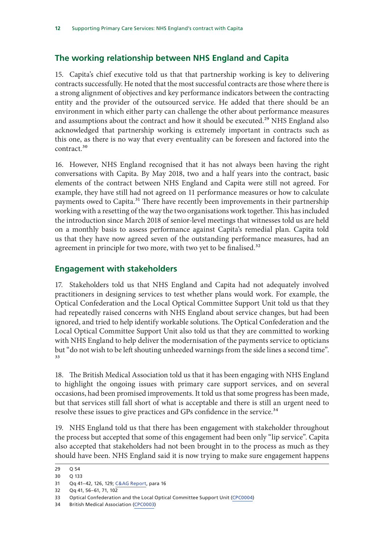#### <span id="page-13-0"></span>**The working relationship between NHS England and Capita**

15. Capita's chief executive told us that that partnership working is key to delivering contracts successfully. He noted that the most successful contracts are those where there is a strong alignment of objectives and key performance indicators between the contracting entity and the provider of the outsourced service. He added that there should be an environment in which either party can challenge the other about performance measures and assumptions about the contract and how it should be executed.<sup>29</sup> NHS England also acknowledged that partnership working is extremely important in contracts such as this one, as there is no way that every eventuality can be foreseen and factored into the contract.30

16. However, NHS England recognised that it has not always been having the right conversations with Capita. By May 2018, two and a half years into the contract, basic elements of the contract between NHS England and Capita were still not agreed. For example, they have still had not agreed on 11 performance measures or how to calculate payments owed to Capita.<sup>31</sup> There have recently been improvements in their partnership working with a resetting of the way the two organisations work together. This has included the introduction since March 2018 of senior-level meetings that witnesses told us are held on a monthly basis to assess performance against Capita's remedial plan. Capita told us that they have now agreed seven of the outstanding performance measures, had an agreement in principle for two more, with two yet to be finalised.<sup>32</sup>

#### **Engagement with stakeholders**

17. Stakeholders told us that NHS England and Capita had not adequately involved practitioners in designing services to test whether plans would work. For example, the Optical Confederation and the Local Optical Committee Support Unit told us that they had repeatedly raised concerns with NHS England about service changes, but had been ignored, and tried to help identify workable solutions. The Optical Confederation and the Local Optical Committee Support Unit also told us that they are committed to working with NHS England to help deliver the modernisation of the payments service to opticians but "do not wish to be left shouting unheeded warnings from the side lines a second time". 33

18. The British Medical Association told us that it has been engaging with NHS England to highlight the ongoing issues with primary care support services, and on several occasions, had been promised improvements. It told us that some progress has been made, but that services still fall short of what is acceptable and there is still an urgent need to resolve these issues to give practices and GPs confidence in the service.<sup>34</sup>

19. NHS England told us that there has been engagement with stakeholder throughout the process but accepted that some of this engagement had been only "lip service". Capita also accepted that stakeholders had not been brought in to the process as much as they should have been. NHS England said it is now trying to make sure engagement happens

<sup>29</sup> Q 54

<sup>30</sup> Q 133

<sup>31</sup> Qq 41–42, 126, 129; [C&AG Report](https://www.nao.org.uk/wp-content/uploads/2018/05/NHS-Englands-management-of-the-primary-care-support-services-contract-with-Capita.pdf), para 16

<sup>32</sup> Qq 41, 56–61, 71, 102

<sup>33</sup> Optical Confederation and the Local Optical Committee Support Unit [\(CPC0004\)](http://data.parliament.uk/writtenevidence/committeeevidence.svc/evidencedocument/public-accounts-committee/supporting-primary-care-services-nhs-englands-contract-with-capita/written/84887.pdf)

<sup>34</sup> British Medical Association [\(CPC0003](http://data.parliament.uk/writtenevidence/committeeevidence.svc/evidencedocument/public-accounts-committee/supporting-primary-care-services-nhs-englands-contract-with-capita/written/84842.pdf))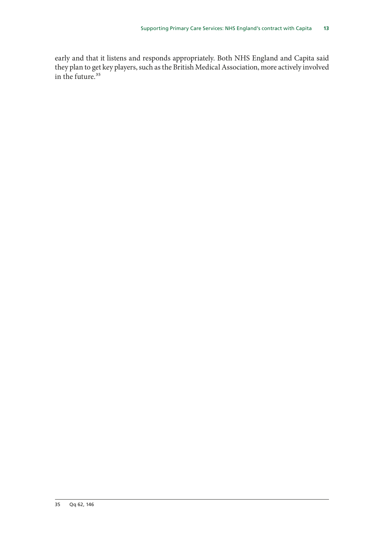early and that it listens and responds appropriately. Both NHS England and Capita said they plan to get key players, such as the British Medical Association, more actively involved in the future.<sup>35</sup>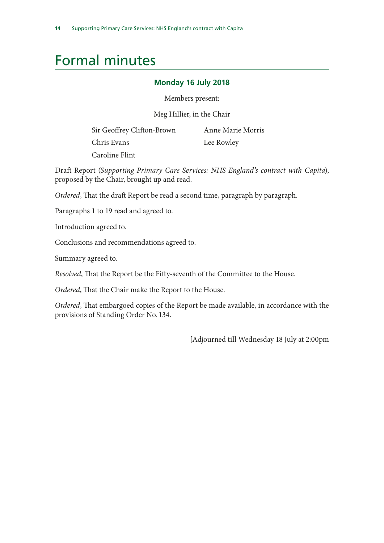# <span id="page-15-0"></span>Formal minutes

#### **Monday 16 July 2018**

Members present:

Meg Hillier, in the Chair

Sir Geoffrey Clifton-Brown

Chris Evans

Anne Marie Morris

Lee Rowley

Caroline Flint

Draft Report (*Supporting Primary Care Services: NHS England's contract with Capita*), proposed by the Chair, brought up and read.

*Ordered*, That the draft Report be read a second time, paragraph by paragraph.

Paragraphs 1 to 19 read and agreed to.

Introduction agreed to.

Conclusions and recommendations agreed to.

Summary agreed to.

*Resolved*, That the Report be the Fifty-seventh of the Committee to the House.

*Ordered*, That the Chair make the Report to the House.

*Ordered*, That embargoed copies of the Report be made available, in accordance with the provisions of Standing Order No. 134.

[Adjourned till Wednesday 18 July at 2:00pm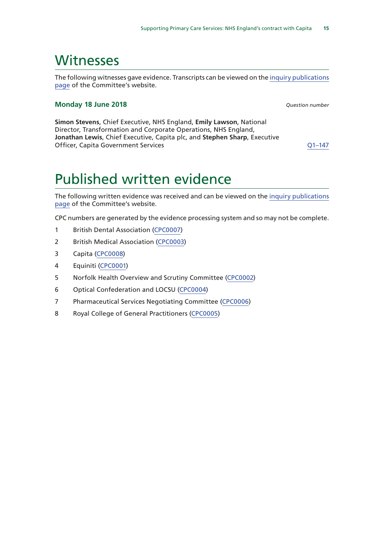### <span id="page-16-0"></span>**Witnesses**

The following witnesses gave evidence. Transcripts can be viewed on the [inquiry publications](https://www.parliament.uk/business/committees/committees-a-z/commons-select/public-accounts-committee/inquiries/parliament-2017/nhs-contract-capita-17-19/publications/) [page](https://www.parliament.uk/business/committees/committees-a-z/commons-select/public-accounts-committee/inquiries/parliament-2017/nhs-contract-capita-17-19/publications/) of the Committee's website.

#### **Monday 18 June 2018** *Question number*

**Simon Stevens**, Chief Executive, NHS England, **Emily Lawson**, National Director, Transformation and Corporate Operations, NHS England, **Jonathan Lewis**, Chief Executive, Capita plc, and **Stephen Sharp**, Executive Officer, Capita Government Services Communication Communication Communication Communication Communication Communication Communication Communication Communication Communication Communication Communication Communication Comm

# Published written evidence

The following written evidence was received and can be viewed on the [inquiry publications](https://www.parliament.uk/business/committees/committees-a-z/commons-select/public-accounts-committee/inquiries/parliament-2017/nhs-contract-capita-17-19/publications/) [page](https://www.parliament.uk/business/committees/committees-a-z/commons-select/public-accounts-committee/inquiries/parliament-2017/nhs-contract-capita-17-19/publications/) of the Committee's website.

CPC numbers are generated by the evidence processing system and so may not be complete.

- 1 British Dental Association [\(CPC0007](http://data.parliament.uk/WrittenEvidence/CommitteeEvidence.svc/EvidenceDocument/Public%20Accounts/Supporting%20primary%20care%20services%20NHS%20Englands%20contract%20with%20Capita/written/85332.html))
- 2 British Medical Association ([CPC0003](http://data.parliament.uk/WrittenEvidence/CommitteeEvidence.svc/EvidenceDocument/Public%20Accounts/Supporting%20primary%20care%20services%20NHS%20Englands%20contract%20with%20Capita/written/84842.html))
- 3 Capita ([CPC0008\)](http://data.parliament.uk/WrittenEvidence/CommitteeEvidence.svc/EvidenceDocument/Public%20Accounts/Supporting%20primary%20care%20services%20NHS%20Englands%20contract%20with%20Capita/written/85529.html)
- 4 Equiniti [\(CPC0001](http://data.parliament.uk/WrittenEvidence/CommitteeEvidence.svc/EvidenceDocument/Public%20Accounts/Supporting%20primary%20care%20services%20NHS%20Englands%20contract%20with%20Capita/written/83457.html))
- 5 Norfolk Health Overview and Scrutiny Committee [\(CPC0002](http://data.parliament.uk/WrittenEvidence/CommitteeEvidence.svc/EvidenceDocument/Public%20Accounts/Supporting%20primary%20care%20services%20NHS%20Englands%20contract%20with%20Capita/written/83814.html))
- 6 Optical Confederation and LOCSU [\(CPC0004](http://data.parliament.uk/WrittenEvidence/CommitteeEvidence.svc/EvidenceDocument/Public%20Accounts/Supporting%20primary%20care%20services%20NHS%20Englands%20contract%20with%20Capita/written/84887.html))
- 7 Pharmaceutical Services Negotiating Committee [\(CPC0006\)](http://data.parliament.uk/WrittenEvidence/CommitteeEvidence.svc/EvidenceDocument/Public%20Accounts/Supporting%20primary%20care%20services%20NHS%20Englands%20contract%20with%20Capita/written/84929.html)
- 8 Royal College of General Practitioners ([CPC0005\)](http://data.parliament.uk/WrittenEvidence/CommitteeEvidence.svc/EvidenceDocument/Public%20Accounts/Supporting%20primary%20care%20services%20NHS%20Englands%20contract%20with%20Capita/written/84890.html)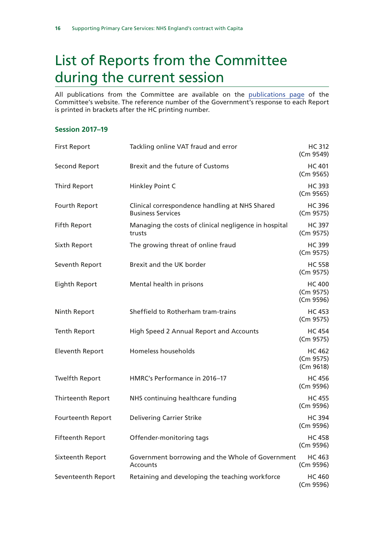# <span id="page-17-0"></span>List of Reports from the Committee during the current session

All publications from the Committee are available on the [publications page](https://www.parliament.uk/business/committees/committees-a-z/commons-select/public-accounts-committee/publications/) of the Committee's website. The reference number of the Government's response to each Report is printed in brackets after the HC printing number.

#### **Session 2017–19**

| <b>First Report</b>     | Tackling online VAT fraud and error                                        | <b>HC 312</b><br>(Cm 9549)              |
|-------------------------|----------------------------------------------------------------------------|-----------------------------------------|
| Second Report           | Brexit and the future of Customs                                           | <b>HC 401</b><br>(Cm 9565)              |
| <b>Third Report</b>     | Hinkley Point C                                                            | <b>HC 393</b><br>(Cm 9565)              |
| Fourth Report           | Clinical correspondence handling at NHS Shared<br><b>Business Services</b> | <b>HC 396</b><br>(Cm 9575)              |
| <b>Fifth Report</b>     | Managing the costs of clinical negligence in hospital<br>trusts            | <b>HC 397</b><br>(Cm 9575)              |
| Sixth Report            | The growing threat of online fraud                                         | <b>HC 399</b><br>(Cm 9575)              |
| Seventh Report          | Brexit and the UK border                                                   | <b>HC 558</b><br>(Cm 9575)              |
| Eighth Report           | Mental health in prisons                                                   | <b>HC 400</b><br>(Cm 9575)<br>(Cm 9596) |
| Ninth Report            | Sheffield to Rotherham tram-trains                                         | <b>HC 453</b><br>(Cm 9575)              |
| <b>Tenth Report</b>     | High Speed 2 Annual Report and Accounts                                    | <b>HC 454</b><br>(Cm 9575)              |
| <b>Eleventh Report</b>  | Homeless households                                                        | <b>HC 462</b><br>(Cm 9575)<br>(Cm 9618) |
| <b>Twelfth Report</b>   | HMRC's Performance in 2016-17                                              | <b>HC 456</b><br>(Cm 9596)              |
| Thirteenth Report       | NHS continuing healthcare funding                                          | <b>HC 455</b><br>(Cm 9596)              |
| Fourteenth Report       | <b>Delivering Carrier Strike</b>                                           | <b>HC 394</b><br>(Cm 9596)              |
| <b>Fifteenth Report</b> | Offender-monitoring tags                                                   | <b>HC 458</b><br>(Cm 9596)              |
| Sixteenth Report        | Government borrowing and the Whole of Government<br>Accounts               | <b>HC 463</b><br>(Cm 9596)              |
| Seventeenth Report      | Retaining and developing the teaching workforce                            | <b>HC 460</b><br>(Cm 9596)              |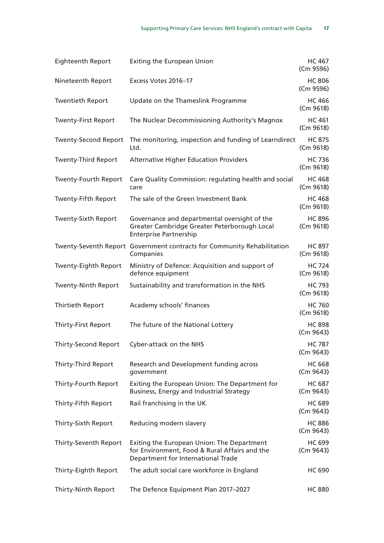| <b>Eighteenth Report</b>    | <b>Exiting the European Union</b>                                                                                                 | <b>HC 467</b><br>(Cm 9596) |
|-----------------------------|-----------------------------------------------------------------------------------------------------------------------------------|----------------------------|
| Nineteenth Report           | Excess Votes 2016-17                                                                                                              | <b>HC 806</b><br>(Cm 9596) |
| <b>Twentieth Report</b>     | Update on the Thameslink Programme                                                                                                | <b>HC 466</b><br>(Cm 9618) |
| <b>Twenty-First Report</b>  | The Nuclear Decommissioning Authority's Magnox                                                                                    | <b>HC 461</b><br>(Cm 9618) |
| <b>Twenty-Second Report</b> | The monitoring, inspection and funding of Learndirect<br>Ltd.                                                                     | <b>HC 875</b><br>(Cm 9618) |
| <b>Twenty-Third Report</b>  | <b>Alternative Higher Education Providers</b>                                                                                     | <b>HC 736</b><br>(Cm 9618) |
| <b>Twenty-Fourth Report</b> | Care Quality Commission: regulating health and social<br>care                                                                     | <b>HC 468</b><br>(Cm 9618) |
| Twenty-Fifth Report         | The sale of the Green Investment Bank                                                                                             | <b>HC 468</b><br>(Cm 9618) |
| <b>Twenty-Sixth Report</b>  | Governance and departmental oversight of the<br>Greater Cambridge Greater Peterborough Local<br><b>Enterprise Partnership</b>     | <b>HC 896</b><br>(Cm 9618) |
|                             | Twenty-Seventh Report Government contracts for Community Rehabilitation<br>Companies                                              | <b>HC 897</b><br>(Cm 9618) |
| Twenty-Eighth Report        | Ministry of Defence: Acquisition and support of<br>defence equipment                                                              | <b>HC 724</b><br>(Cm 9618) |
| <b>Twenty-Ninth Report</b>  | Sustainability and transformation in the NHS                                                                                      | <b>HC 793</b><br>(Cm 9618) |
| Thirtieth Report            | Academy schools' finances                                                                                                         | <b>HC 760</b><br>(Cm 9618) |
| <b>Thirty-First Report</b>  | The future of the National Lottery                                                                                                | <b>HC 898</b><br>(Cm 9643) |
| Thirty-Second Report        | Cyber-attack on the NHS                                                                                                           | <b>HC 787</b><br>(Cm 9643) |
| Thirty-Third Report         | Research and Development funding across<br>government                                                                             | <b>HC 668</b><br>(Cm 9643) |
| Thirty-Fourth Report        | Exiting the European Union: The Department for<br><b>Business, Energy and Industrial Strategy</b>                                 | <b>HC 687</b><br>(Cm 9643) |
| Thirty-Fifth Report         | Rail franchising in the UK                                                                                                        | <b>HC 689</b><br>(Cm 9643) |
| Thirty-Sixth Report         | Reducing modern slavery                                                                                                           | <b>HC 886</b><br>(Cm 9643) |
| Thirty-Seventh Report       | Exiting the European Union: The Department<br>for Environment, Food & Rural Affairs and the<br>Department for International Trade | <b>HC 699</b><br>(Cm 9643) |
| Thirty-Eighth Report        | The adult social care workforce in England                                                                                        | <b>HC 690</b>              |
| Thirty-Ninth Report         | The Defence Equipment Plan 2017-2027                                                                                              | <b>HC 880</b>              |